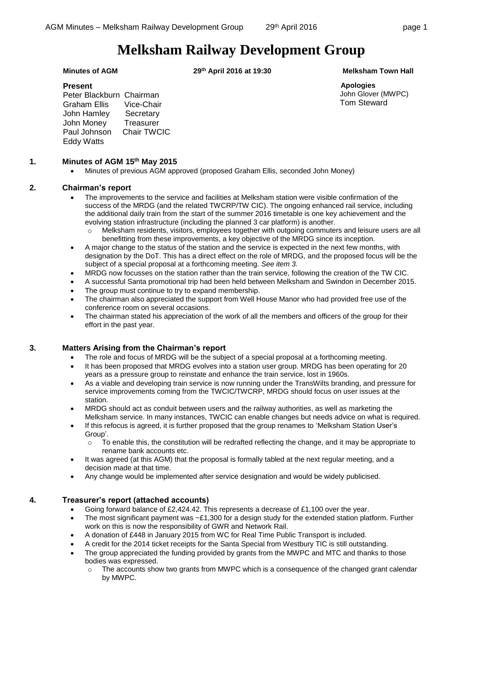# **Melksham Railway Development Group**

**Minutes of AGM 29th April 2016 at 19:30 Melksham Town Hall**

**Apologies** John Glover (MWPC) Tom Steward

## **Present**

Peter Blackburn Chairman Graham Ellis Vice-Chair John Hamley Secretary John Money Treasurer Paul Johnson Chair TWCIC Eddy Watts

## **1. Minutes of AGM 15th May 2015**

Minutes of previous AGM approved (proposed Graham Ellis, seconded John Money)

# **2. Chairman's report**

- The improvements to the service and facilities at Melksham station were visible confirmation of the success of the MRDG (and the related TWCRP/TW CIC). The ongoing enhanced rail service, including the additional daily train from the start of the summer 2016 timetable is one key achievement and the evolving station infrastructure (including the planned 3 car platform) is another.
	- o Melksham residents, visitors, employees together with outgoing commuters and leisure users are all benefitting from these improvements, a key objective of the MRDG since its inception.
- A major change to the status of the station and the service is expected in the next few months, with designation by the DoT. This has a direct effect on the role of MRDG, and the proposed focus will be the subject of a special proposal at a forthcoming meeting. *See item 3.*
- MRDG now focusses on the station rather than the train service, following the creation of the TW CIC.
- A successful Santa promotional trip had been held between Melksham and Swindon in December 2015.
- The group must continue to try to expand membership.
- The chairman also appreciated the support from Well House Manor who had provided free use of the conference room on several occasions.
- The chairman stated his appreciation of the work of all the members and officers of the group for their effort in the past year.

#### **3. Matters Arising from the Chairman's report**

- The role and focus of MRDG will be the subject of a special proposal at a forthcoming meeting.
- It has been proposed that MRDG evolves into a station user group. MRDG has been operating for 20 years as a pressure group to reinstate and enhance the train service, lost in 1960s.
- As a viable and developing train service is now running under the TransWilts branding, and pressure for service improvements coming from the TWCIC/TWCRP, MRDG should focus on user issues at the station.
- MRDG should act as conduit between users and the railway authorities, as well as marketing the Melksham service. In many instances, TWCIC can enable changes but needs advice on what is required.
- If this refocus is agreed, it is further proposed that the group renames to 'Melksham Station User's Group'.
	- $\circ$  To enable this, the constitution will be redrafted reflecting the change, and it may be appropriate to rename bank accounts etc.
- It was agreed (at this AGM) that the proposal is formally tabled at the next regular meeting, and a decision made at that time.
- Any change would be implemented after service designation and would be widely publicised.

#### **4. Treasurer's report (attached accounts)**

- Going forward balance of £2,424.42. This represents a decrease of £1,100 over the year.
- The most significant payment was  $\sim$ £1,300 for a design study for the extended station platform. Further work on this is now the responsibility of GWR and Network Rail.
- A donation of £448 in January 2015 from WC for Real Time Public Transport is included.
	- A credit for the 2014 ticket receipts for the Santa Special from Westbury TIC is still outstanding.
- The group appreciated the funding provided by grants from the MWPC and MTC and thanks to those bodies was expressed.
	- $\circ$  The accounts show two grants from MWPC which is a consequence of the changed grant calendar by MWPC.